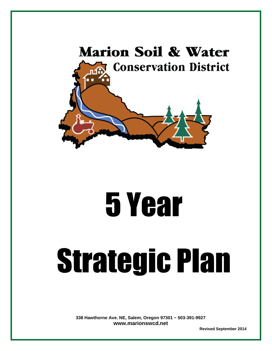

# 5 Year

# Strategic Plan

**338 Hawthorne Ave. NE, Salem, Oregon 97301 ~ 503-391-9927 [www.marionswcd.net](http://www.marionswcd.net/)** 

 **Revised September 2014**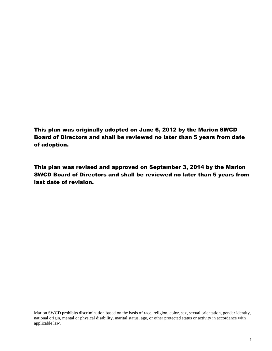This plan was originally adopted on June 6, 2012 by the Marion SWCD Board of Directors and shall be reviewed no later than 5 years from date of adoption.

This plan was revised and approved on September 3, 2014 by the Marion SWCD Board of Directors and shall be reviewed no later than 5 years from last date of revision.

Marion SWCD prohibits discrimination based on the basis of race, religion, color, sex, sexual orientation, gender identity, national origin, mental or physical disability, marital status, age, or other protected status or activity in accordance with applicable law.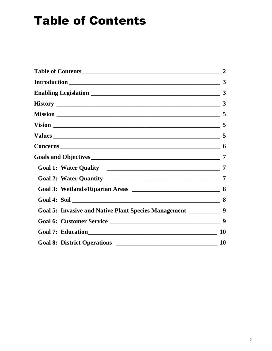## <span id="page-2-0"></span>Table of Contents

<span id="page-2-1"></span>

|                                                                       | $\mathbf{3}$   |
|-----------------------------------------------------------------------|----------------|
|                                                                       |                |
|                                                                       |                |
|                                                                       |                |
|                                                                       |                |
|                                                                       |                |
|                                                                       |                |
|                                                                       |                |
|                                                                       | $\overline{7}$ |
|                                                                       |                |
|                                                                       |                |
|                                                                       |                |
| Goal 5: Invasive and Native Plant Species Management ______________ 9 |                |
|                                                                       |                |
|                                                                       | <b>10</b>      |
|                                                                       | <b>10</b>      |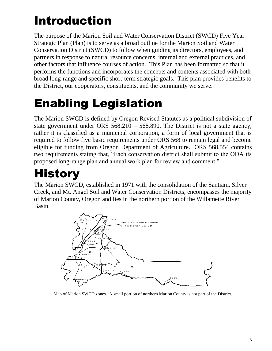# Introduction

The purpose of the Marion Soil and Water Conservation District (SWCD) Five Year Strategic Plan (Plan) is to serve as a broad outline for the Marion Soil and Water Conservation District (SWCD) to follow when guiding its directors, employees, and partners in response to natural resource concerns, internal and external practices, and other factors that influence courses of action. This Plan has been formatted so that it performs the functions and incorporates the concepts and contents associated with both broad long-range and specific short-term strategic goals. This plan provides benefits to the District, our cooperators, constituents, and the community we serve.

# <span id="page-3-0"></span>Enabling Legislation

The Marion SWCD is defined by Oregon Revised Statutes as a political subdivision of state government under ORS 568.210 – 568.890. The District is not a state agency, rather it is classified as a municipal corporation, a form of local government that is required to follow five basic requirements under ORS 568 to remain legal and become eligible for funding from Oregon Department of Agriculture. ORS 568.554 contains two requirements stating that, "Each conservation district shall submit to the ODA its proposed long-range plan and annual work plan for review and comment."

# <span id="page-3-1"></span>**History**

The Marion SWCD, established in 1971 with the consolidation of the Santiam, Silver Creek, and Mt. Angel Soil and Water Conservation Districts, encompasses the majority of Marion County, Oregon and lies in the northern portion of the Willamette River Basin.



Map of Marion SWCD zones. A small portion of northern Marion County is not part of the District.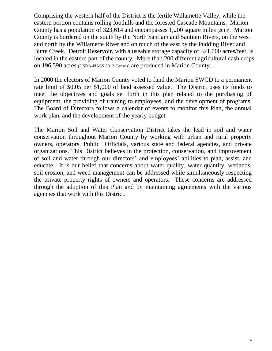Comprising the western half of the District is the fertile Willamette Valley, while the eastern portion contains rolling foothills and the forested Cascade Mountains. Marion County has a population of 323,614 and encompasses 1,200 square miles (2013). Marion County is bordered on the south by the North Santiam and Santiam Rivers, on the west and north by the Willamette River and on much of the east by the Pudding River and Butte Creek. Detroit Reservoir, with a useable storage capacity of 321,000 acres/feet, is located in the eastern part of the county. More than 200 different agricultural cash crops on 196,590 acres (USDA-NASS 2012 Census) are produced in Marion County.

In 2000 the electors of Marion County voted to fund the Marion SWCD to a permanent rate limit of \$0.05 per \$1,000 of land assessed value. The District uses its funds to meet the objectives and goals set forth in this plan related to the purchasing of equipment, the providing of training to employees, and the development of programs. The Board of Directors follows a calendar of events to monitor this Plan, the annual work plan, and the development of the yearly budget.

The Marion Soil and Water Conservation District takes the lead in soil and water conservation throughout Marion County by working with urban and rural property owners, operators, Public Officials, various state and federal agencies, and private organizations. This District believes in the protection, conservation, and improvement of soil and water through our directors' and employees' abilities to plan, assist, and educate. It is our belief that concerns about water quality, water quantity, wetlands, soil erosion, and weed management can be addressed while simultaneously respecting the private property rights of owners and operators. These concerns are addressed through the adoption of this Plan and by maintaining agreements with the various agencies that work with this District.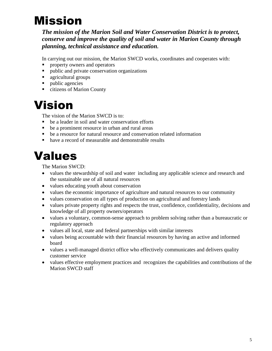## <span id="page-5-0"></span>Mission

*The mission of the Marion Soil and Water Conservation District is to protect, conserve and improve the quality of soil and water in Marion County through planning, technical assistance and education.*

In carrying out our mission, the Marion SWCD works, coordinates and cooperates with:

- **Peroperty owners and operators**
- **public and private conservation organizations**
- **agricultural groups**
- public agencies
- citizens of Marion County

### <span id="page-5-1"></span>Vision

The vision of the Marion SWCD is to:

- be a leader in soil and water conservation efforts
- be a prominent resource in urban and rural areas
- be a resource for natural resource and conservation related information
- have a record of measurable and demonstrable results

### <span id="page-5-2"></span>Values

The Marion SWCD:

- values the stewardship of soil and water including any applicable science and research and the sustainable use of all natural resources
- values educating youth about conservation
- values the economic importance of agriculture and natural resources to our community
- values conservation on all types of production on agricultural and forestry lands
- values private property rights and respects the trust, confidence, confidentiality, decisions and knowledge of all property owners/operators
- values a voluntary, common-sense approach to problem solving rather than a bureaucratic or regulatory approach
- values all local, state and federal partnerships with similar interests
- values being accountable with their financial resources by having an active and informed board
- values a well-managed district office who effectively communicates and delivers quality customer service
- values effective employment practices and recognizes the capabilities and contributions of the Marion SWCD staff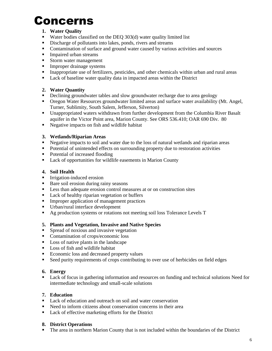## <span id="page-6-0"></span>Concerns

#### **1. Water Quality**

- Water bodies classified on the DEO  $303(d)$  water quality limited list
- Discharge of pollutants into lakes, ponds, rivers and streams
- Contamination of surface and ground water caused by various activities and sources
- **Impaired urban streams**
- Storm water management
- **Improper drainage systems**
- Inappropriate use of fertilizers, pesticides, and other chemicals within urban and rural areas
- Lack of baseline water quality data in impacted areas within the District

#### **2. Water Quantity**

- Declining groundwater tables and slow groundwater recharge due to area geology
- Oregon Water Resources groundwater limited areas and surface water availability (Mt. Angel, Turner, Sublimity, South Salem, Jefferson, Silverton)
- Unappropriated waters withdrawn from further development from the Columbia River Basalt aquifer in the Victor Point area, Marion County. See ORS 536.410; OAR 690 Div. 80
- Negative impacts on fish and wildlife habitat

#### **3. Wetlands/Riparian Areas**

- Negative impacts to soil and water due to the loss of natural wetlands and riparian areas
- Potential of unintended effects on surrounding property due to restoration activities
- Potential of increased flooding
- Lack of opportunities for wildlife easements in Marion County

#### **4. Soil Health**

- **Irrigation-induced erosion**
- Bare soil erosion during rainy seasons
- **Less than adequate erosion control measures at or on construction sites**
- Lack of healthy riparian vegetation or buffers
- **IMPROPER I**mproper application of management practices
- Urban/rural interface development
- Ag production systems or rotations not meeting soil loss Tolerance Levels T

#### **5. Plants and Vegetation, Invasive and Native Species**

- Spread of noxious and invasive vegetation
- Contamination of crops/economic loss
- Loss of native plants in the landscape
- **Loss of fish and wildlife habitat**
- Economic loss and decreased property values
- Seed purity requirements of crops contributing to over use of herbicides on field edges

#### **6. Energy**

 Lack of focus in gathering information and resources on funding and technical solutions Need for intermediate technology and small-scale solutions

#### **7. Education**

- Lack of education and outreach on soil and water conservation
- Need to inform citizens about conservation concerns in their area
- Lack of effective marketing efforts for the District

#### **8. District Operations**

The area in northern Marion County that is not included within the boundaries of the District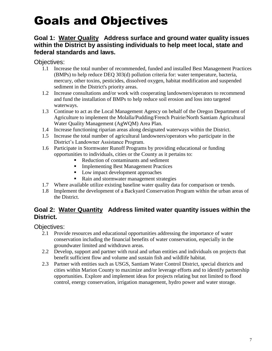## <span id="page-7-0"></span>Goals and Objectives

#### <span id="page-7-1"></span>**Goal 1: Water Quality Address surface and ground water quality issues within the District by assisting individuals to help meet local, state and federal standards and laws.**

Objectives:

- 1.1 Increase the total number of recommended, funded and installed Best Management Practices (BMPs) to help reduce DEQ 303(d) pollution criteria for: water temperature, bacteria, mercury, other toxins, pesticides, dissolved oxygen, habitat modification and suspended sediment in the District's priority areas.
- 1.2 Increase consultations and/or work with cooperating landowners/operators to recommend and fund the installation of BMPs to help reduce soil erosion and loss into targeted waterways.
- 1.3 Continue to act as the Local Management Agency on behalf of the Oregon Department of Agriculture to implement the Molalla/Pudding/French Prairie/North Santiam Agricultural Water Quality Management (AgWQM) Area Plan.
- 1.4 Increase functioning riparian areas along designated waterways within the District.
- 1.5 Increase the total number of agricultural landowners/operators who participate in the District's Landowner Assistance Program.
- 1.6 Participate in Stormwater Runoff Programs by providing educational or funding opportunities to individuals, cities or the County as it pertains to:
	- Reduction of contaminants and sediment
	- **Implementing Best Management Practices**
	- **Low impact development approaches**
	- Rain and stormwater management strategies
- 1.7 Where available utilize existing baseline water quality data for comparison or trends.
- 1.8 Implement the development of a Backyard Conservation Program within the urban areas of the District.

#### <span id="page-7-2"></span>**Goal 2: Water Quantity Address limited water quantity issues within the District.**

- 2.1 Provide resources and educational opportunities addressing the importance of water conservation including the financial benefits of water conservation, especially in the groundwater limited and withdrawn areas.
- 2.2 Develop, support and partner with rural and urban entities and individuals on projects that benefit sufficient flow and volume and sustain fish and wildlife habitat.
- <span id="page-7-3"></span>2.3 Partner with entities such as USGS, Santiam Water Control District, special districts and cities within Marion County to maximize and/or leverage efforts and to identify partnership opportunities. Explore and implement ideas for projects relating but not limited to flood control, energy conservation, irrigation management, hydro power and water storage.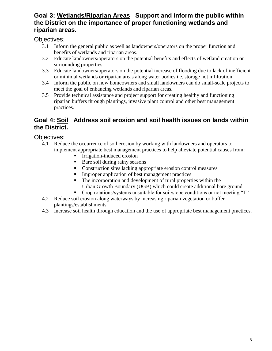#### **Goal 3: Wetlands/Riparian Areas Support and inform the public within the District on the importance of proper functioning wetlands and riparian areas.**

Objectives:

- 3.1 Inform the general public as well as landowners/operators on the proper function and benefits of wetlands and riparian areas.
- 3.2 Educate landowners/operators on the potential benefits and effects of wetland creation on surrounding properties.
- 3.3 Educate landowners/operators on the potential increase of flooding due to lack of inefficient or minimal wetlands or riparian areas along water bodies i.e. storage not infiltration
- 3.4 Inform the public on how homeowners and small landowners can do small-scale projects to meet the goal of enhancing wetlands and riparian areas.
- 3.5 Provide technical assistance and project support for creating healthy and functioning riparian buffers through plantings, invasive plant control and other best management practices.

#### <span id="page-8-0"></span>**Goal 4: Soil Address soil erosion and soil health issues on lands within the District.**

- 4.1 Reduce the occurrence of soil erosion by working with landowners and operators to implement appropriate best management practices to help alleviate potential causes from:
	- Irrigation-induced erosion
	- Bare soil during rainy seasons
	- Construction sites lacking appropriate erosion control measures
	- Improper application of best management practices
	- The incorporation and development of rural properties within the Urban Growth Boundary (UGB) which could create additional bare ground
	- Crop rotations/systems unsuitable for soil/slope conditions or not meeting "T"
- 4.2 Reduce soil erosion along waterways by increasing riparian vegetation or buffer plantings/establishments.
- <span id="page-8-1"></span>4.3 Increase soil health through education and the use of appropriate best management practices.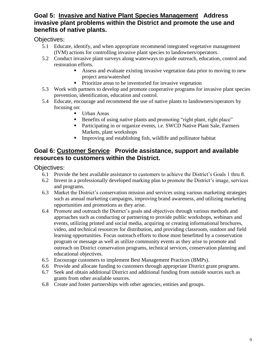#### **Goal 5: Invasive and Native Plant Species Management Address invasive plant problems within the District and promote the use and benefits of native plants.**

Objectives:

- 5.1 Educate, identify, and when appropriate recommend integrated vegetative management (IVM) actions for controlling invasive plant species to landowners/operators.
- 5.2 Conduct invasive plant surveys along waterways to guide outreach, education, control and restoration efforts.
	- Assess and evaluate existing invasive vegetation data prior to moving to new project area/watershed
	- **Prioritize areas to be inventoried for invasive vegetation**
- 5.3 Work with partners to develop and promote cooperative programs for invasive plant species prevention, identification, education and control.
- 5.4 Educate, encourage and recommend the use of native plants to landowners/operators by focusing on:
	- Urban Areas
	- Benefits of using native plants and promoting "right plant, right place"
	- Participating in or organize events, i.e. SWCD Native Plant Sale, Farmers Markets, plant workshops
	- Improving and establishing fish, wildlife and pollinator habitat

#### <span id="page-9-0"></span>**Goal 6: Customer Service Provide assistance, support and available resources to customers within the District.**

- 6.1 Provide the best available assistance to customers to achieve the District's Goals 1 thru 8.
- 6.2 Invest in a professionally developed marking plan to promote the District's image, services and programs.
- 6.3 Market the District's conservation mission and services using various marketing strategies such as annual marketing campaigns, improving brand awareness, and utilizing marketing opportunities and promotions as they arise.
- 6.4 Promote and outreach the District's goals and objectives through various methods and approaches such as conducting or partnering to provide public workshops, webinars and events, utilizing printed and social media, acquiring or creating informational brochures, video, and technical resources for distribution, and providing classroom, outdoor and field learning opportunities. Focus outreach efforts to those most benefitted by a conservation program or message as well as utilize community events as they arise to promote and outreach on District conservation programs, technical services, conservation planning and educational objectives.
- 6.5 Encourage customers to implement Best Management Practices (BMPs).
- 6.6 Provide and allocate funding to customers through appropriate District grant programs.
- 6.7 Seek and obtain additional District and additional funding from outside sources such as grants from other available sources.
- <span id="page-9-1"></span>6.8 Create and foster partnerships with other agencies, entities and groups.